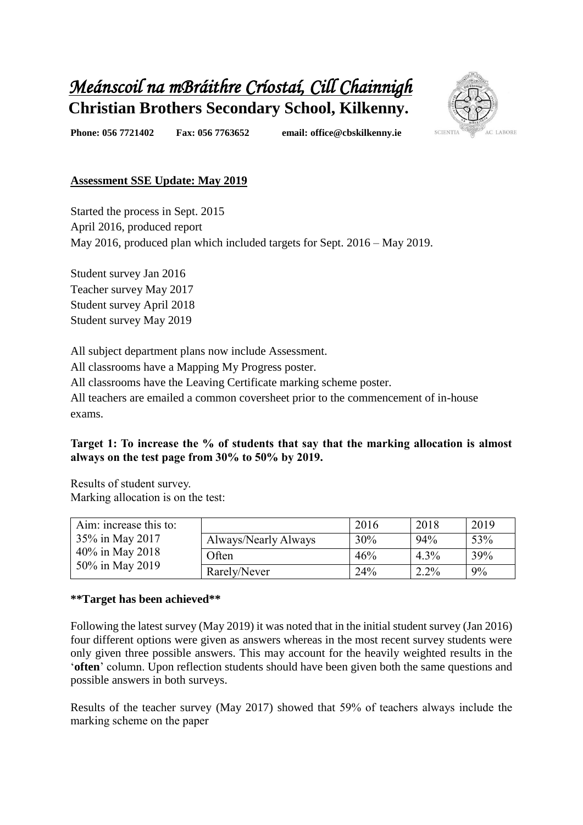# *Meánscoil na mBráithre Críostaí, Cill Chainnigh*  **Christian Brothers Secondary School, Kilkenny.**



**Phone: 056 7721402 Fax: 056 7763652 email: office@cbskilkenny.ie** 

# **Assessment SSE Update: May 2019**

Started the process in Sept. 2015 April 2016, produced report May 2016, produced plan which included targets for Sept. 2016 – May 2019.

Student survey Jan 2016 Teacher survey May 2017 Student survey April 2018 Student survey May 2019

All subject department plans now include Assessment. All classrooms have a Mapping My Progress poster. All classrooms have the Leaving Certificate marking scheme poster. All teachers are emailed a common coversheet prior to the commencement of in-house exams.

## **Target 1: To increase the % of students that say that the marking allocation is almost always on the test page from 30% to 50% by 2019.**

Results of student survey. Marking allocation is on the test:

| Aim: increase this to:<br>35% in May 2017<br>40% in May 2018<br>50% in May 2019 |                      | 2016 | 2018    | 2019 |
|---------------------------------------------------------------------------------|----------------------|------|---------|------|
|                                                                                 | Always/Nearly Always | 30%  | 94%     | 53%  |
|                                                                                 | Often                | 46%  | $4.3\%$ | 39%  |
|                                                                                 | Rarely/Never         | 24%  | $2.2\%$ | 9%   |

#### **\*\*Target has been achieved\*\***

Following the latest survey (May 2019) it was noted that in the initial student survey (Jan 2016) four different options were given as answers whereas in the most recent survey students were only given three possible answers. This may account for the heavily weighted results in the '**often**' column. Upon reflection students should have been given both the same questions and possible answers in both surveys.

Results of the teacher survey (May 2017) showed that 59% of teachers always include the marking scheme on the paper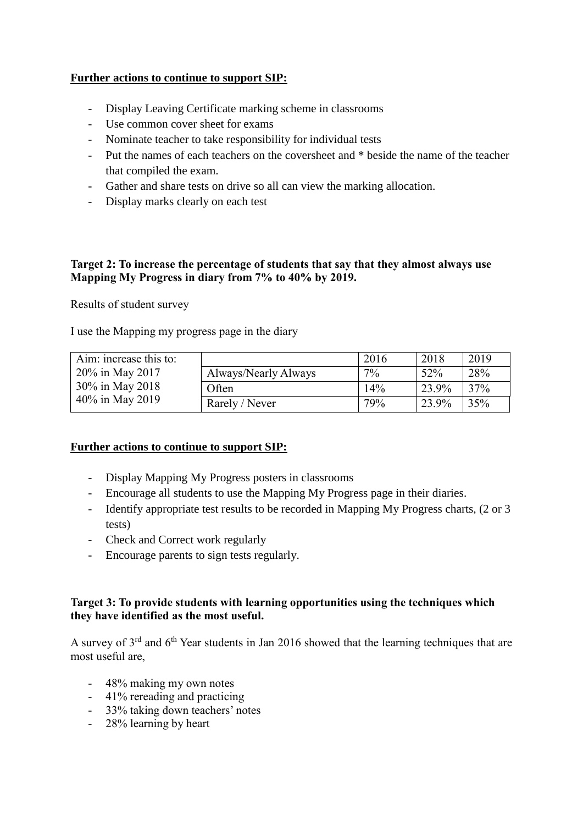#### **Further actions to continue to support SIP:**

- Display Leaving Certificate marking scheme in classrooms
- Use common cover sheet for exams
- Nominate teacher to take responsibility for individual tests
- Put the names of each teachers on the coversheet and \* beside the name of the teacher that compiled the exam.
- Gather and share tests on drive so all can view the marking allocation.
- Display marks clearly on each test

#### **Target 2: To increase the percentage of students that say that they almost always use Mapping My Progress in diary from 7% to 40% by 2019.**

Results of student survey

I use the Mapping my progress page in the diary

| Aim: increase this to:                                |                      | 2016  | 2018  | 2019 |
|-------------------------------------------------------|----------------------|-------|-------|------|
| 20% in May 2017<br>30% in May 2018<br>40% in May 2019 | Always/Nearly Always | $7\%$ | 52%   | 28%  |
|                                                       | Often                | 14%   | 23.9% | 37%  |
|                                                       | Rarely / Never       | 79%   | 23.9% | 35%  |

#### **Further actions to continue to support SIP:**

- Display Mapping My Progress posters in classrooms
- Encourage all students to use the Mapping My Progress page in their diaries.
- Identify appropriate test results to be recorded in Mapping My Progress charts, (2 or 3 tests)
- Check and Correct work regularly
- Encourage parents to sign tests regularly.

#### **Target 3: To provide students with learning opportunities using the techniques which they have identified as the most useful.**

A survey of  $3<sup>rd</sup>$  and  $6<sup>th</sup>$  Year students in Jan 2016 showed that the learning techniques that are most useful are,

- 48% making my own notes
- 41% rereading and practicing
- 33% taking down teachers' notes
- 28% learning by heart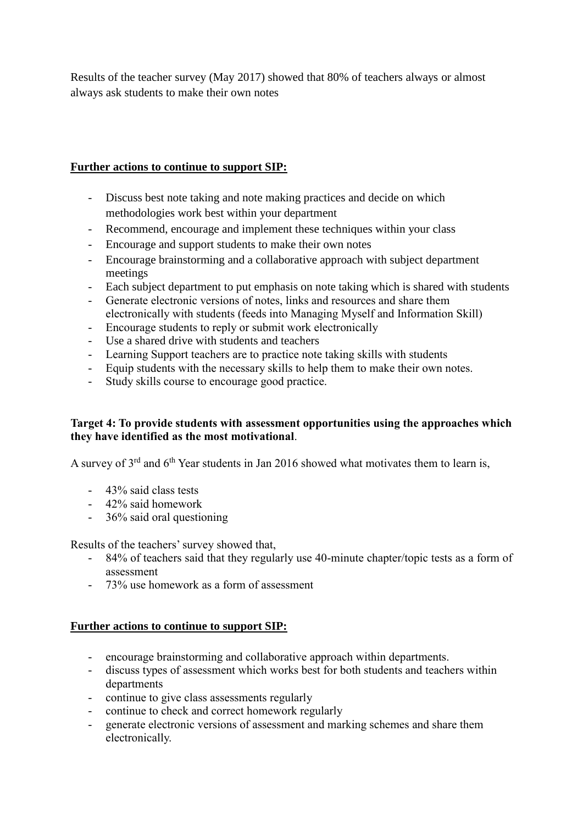Results of the teacher survey (May 2017) showed that 80% of teachers always or almost always ask students to make their own notes

### **Further actions to continue to support SIP:**

- Discuss best note taking and note making practices and decide on which methodologies work best within your department
- Recommend, encourage and implement these techniques within your class
- Encourage and support students to make their own notes
- Encourage brainstorming and a collaborative approach with subject department meetings
- Each subject department to put emphasis on note taking which is shared with students
- Generate electronic versions of notes, links and resources and share them electronically with students (feeds into Managing Myself and Information Skill)
- Encourage students to reply or submit work electronically
- Use a shared drive with students and teachers
- Learning Support teachers are to practice note taking skills with students
- Equip students with the necessary skills to help them to make their own notes.
- Study skills course to encourage good practice.

#### **Target 4: To provide students with assessment opportunities using the approaches which they have identified as the most motivational**.

A survey of  $3<sup>rd</sup>$  and  $6<sup>th</sup>$  Year students in Jan 2016 showed what motivates them to learn is,

- 43% said class tests
- 42% said homework
- 36% said oral questioning

Results of the teachers' survey showed that,

- 84% of teachers said that they regularly use 40-minute chapter/topic tests as a form of assessment
- 73% use homework as a form of assessment

#### **Further actions to continue to support SIP:**

- encourage brainstorming and collaborative approach within departments.
- discuss types of assessment which works best for both students and teachers within departments
- continue to give class assessments regularly
- continue to check and correct homework regularly
- generate electronic versions of assessment and marking schemes and share them electronically.